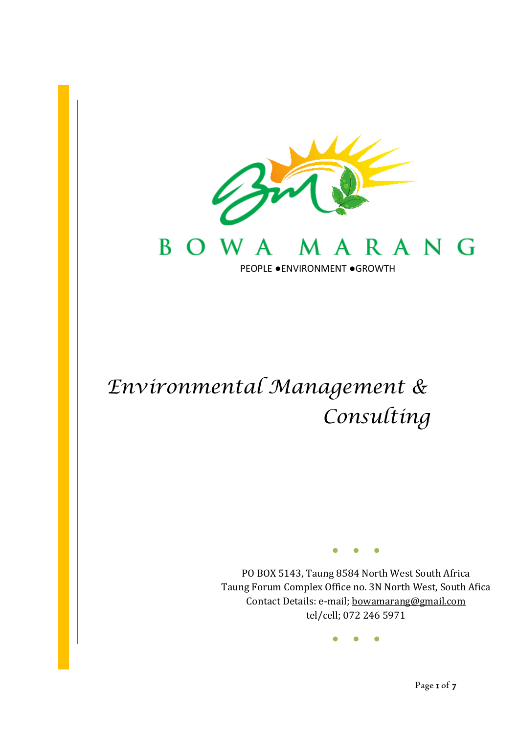

# *Environmental Management & Consulting*

I

● ● ●

PO BOX 5143, Taung 8584 North West South Africa Taung Forum Complex Office no. 3N North West, South Afica Contact Details: e-mail; [bowamarang@gmail.com](mailto:bowamarang@gmail.com) tel/cell; 072 246 5971

● ● ●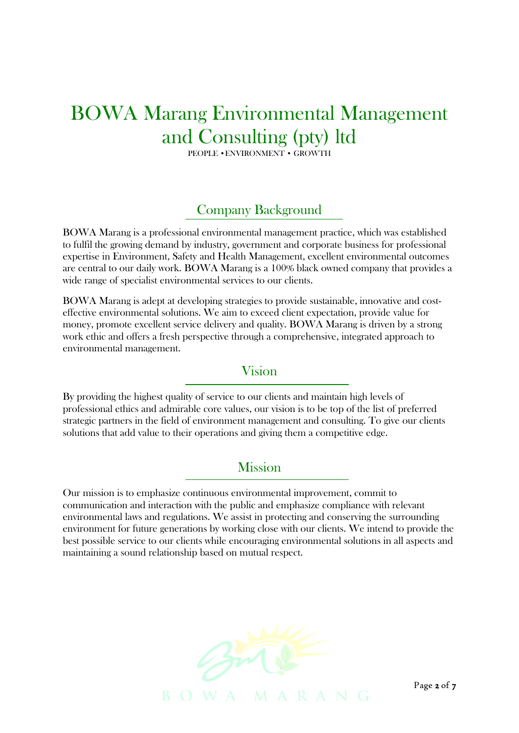## BOWA Marang Environmental Management and Consulting (pty) ltd

PEOPLE •ENVIRONMENT • GROWTH

### Company Background

BOWA Marang is a professional environmental management practice, which was established to fulfil the growing demand by industry, government and corporate business for professional expertise in Environment, Safety and Health Management, excellent environmental outcomes are central to our daily work. BOWA Marang is a 100% black owned company that provides a wide range of specialist environmental services to our clients.

BOWA Marang is adept at developing strategies to provide sustainable, innovative and costeffective environmental solutions. We aim to exceed client expectation, provide value for money, promote excellent service delivery and quality. BOWA Marang is driven by a strong work ethic and offers a fresh perspective through a comprehensive, integrated approach to environmental management.

#### Vision

By providing the highest quality of service to our clients and maintain high levels of professional ethics and admirable core values, our vision is to be top of the list of preferred strategic partners in the field of environment management and consulting. To give our clients solutions that add value to their operations and giving them a competitive edge.

#### **Mission**

Our mission is to emphasize continuous environmental improvement, commit to communication and interaction with the public and emphasize compliance with relevant environmental laws and regulations. We assist in protecting and conserving the surrounding environment for future generations by working close with our clients. We intend to provide the best possible service to our clients while encouraging environmental solutions in all aspects and maintaining a sound relationship based on mutual respect.



Page 2 of 7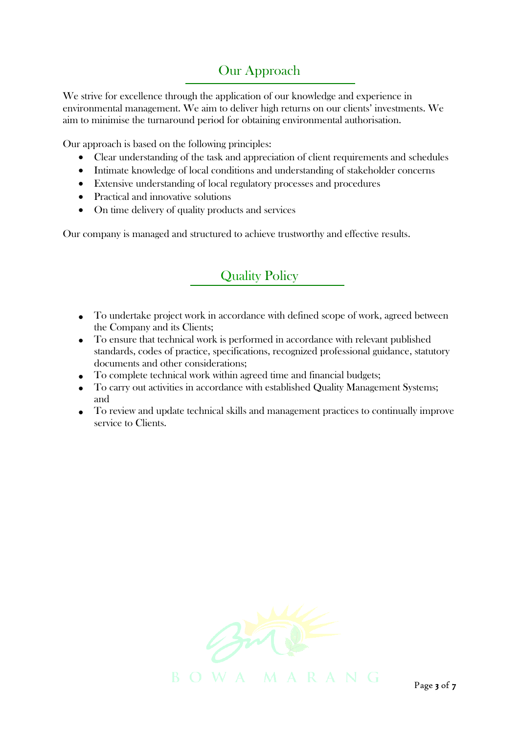## Our Approach

We strive for excellence through the application of our knowledge and experience in environmental management. We aim to deliver high returns on our clients' investments. We aim to minimise the turnaround period for obtaining environmental authorisation.

Our approach is based on the following principles:

- Clear understanding of the task and appreciation of client requirements and schedules
- Intimate knowledge of local conditions and understanding of stakeholder concerns
- Extensive understanding of local regulatory processes and procedures
- Practical and innovative solutions
- On time delivery of quality products and services

Our company is managed and structured to achieve trustworthy and effective results.

## Quality Policy

- To undertake project work in accordance with defined scope of work, agreed between the Company and its Clients;
- To ensure that technical work is performed in accordance with relevant published standards, codes of practice, specifications, recognized professional guidance, statutory documents and other considerations;
- To complete technical work within agreed time and financial budgets;
- To carry out activities in accordance with established Quality Management Systems; and
- To review and update technical skills and management practices to continually improve service to Clients.

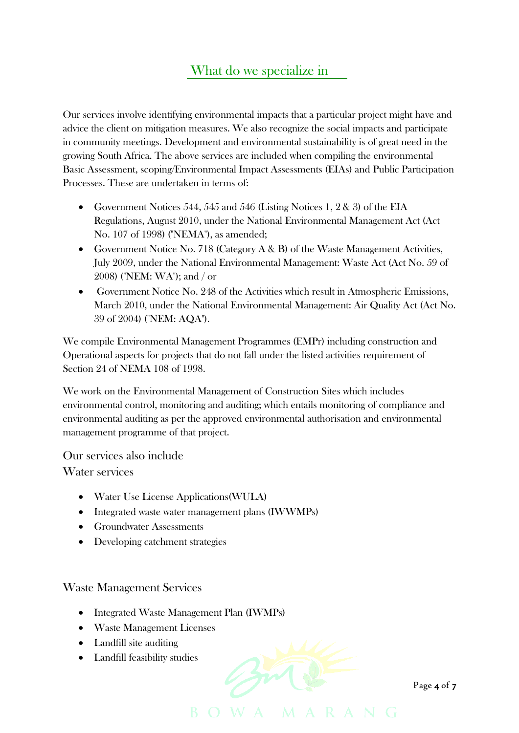## What do we specialize in

Our services involve identifying environmental impacts that a particular project might have and advice the client on mitigation measures. We also recognize the social impacts and participate in community meetings. Development and environmental sustainability is of great need in the growing South Africa. The above services are included when compiling the environmental Basic Assessment, scoping/Environmental Impact Assessments (EIAs) and Public Participation Processes. These are undertaken in terms of:

- Government Notices 544, 545 and 546 (Listing Notices 1, 2 & 3) of the EIA Regulations, August 2010, under the National Environmental Management Act (Act No. 107 of 1998) ("NEMA"), as amended;
- Government Notice No. 718 (Category A & B) of the Waste Management Activities, July 2009, under the National Environmental Management: Waste Act (Act No. 59 of 2008) ("NEM: WA"); and / or
- Government Notice No. 248 of the Activities which result in Atmospheric Emissions, March 2010, under the National Environmental Management: Air Quality Act (Act No. 39 of 2004) ("NEM: AQA").

We compile Environmental Management Programmes (EMPr) including construction and Operational aspects for projects that do not fall under the listed activities requirement of Section 24 of NEMA 108 of 1998.

We work on the Environmental Management of Construction Sites which includes environmental control, monitoring and auditing; which entails monitoring of compliance and environmental auditing as per the approved environmental authorisation and environmental management programme of that project.

Our services also include Water services

- Water Use License Applications(WULA)
- Integrated waste water management plans (IWWMPs)
- Groundwater Assessments
- Developing catchment strategies

#### Waste Management Services

- Integrated Waste Management Plan (IWMPs)
- Waste Management Licenses
- Landfill site auditing
- Landfill feasibility studies



Page **4** of 7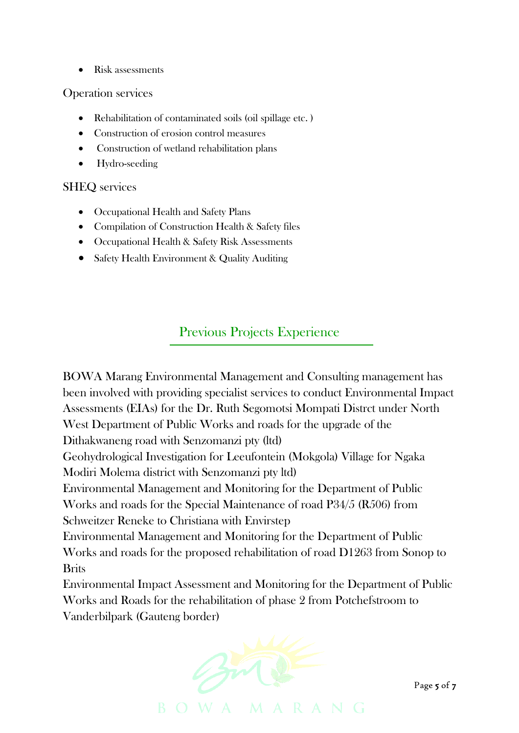• Risk assessments

#### Operation services

- Rehabilitation of contaminated soils (oil spillage etc.)
- Construction of erosion control measures
- Construction of wetland rehabilitation plans
- Hydro-seeding

#### SHEQ services

- Occupational Health and Safety Plans
- Compilation of Construction Health & Safety files
- Occupational Health & Safety Risk Assessments
- Safety Health Environment & Quality Auditing

## Previous Projects Experience

BOWA Marang Environmental Management and Consulting management has been involved with providing specialist services to conduct Environmental Impact Assessments (EIAs) for the Dr. Ruth Segomotsi Mompati Distrct under North West Department of Public Works and roads for the upgrade of the Dithakwaneng road with Senzomanzi pty (ltd)

Geohydrological Investigation for Leeufontein (Mokgola) Village for Ngaka Modiri Molema district with Senzomanzi pty ltd)

Environmental Management and Monitoring for the Department of Public Works and roads for the Special Maintenance of road P34/5 (R506) from Schweitzer Reneke to Christiana with Envirstep

Environmental Management and Monitoring for the Department of Public Works and roads for the proposed rehabilitation of road D1263 from Sonop to Brits

Environmental Impact Assessment and Monitoring for the Department of Public Works and Roads for the rehabilitation of phase 2 from Potchefstroom to Vanderbilpark (Gauteng border)



Page 5 of 7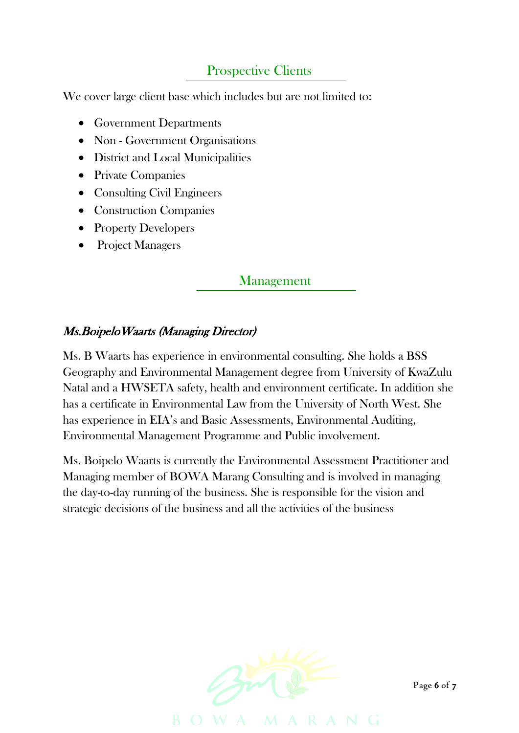## Prospective Clients

We cover large client base which includes but are not limited to:

- Government Departments
- Non Government Organisations
- District and Local Municipalities
- Private Companies
- Consulting Civil Engineers
- Construction Companies
- Property Developers
- Project Managers

#### Management

#### Ms.BoipeloWaarts (Managing Director)

Ms. B Waarts has experience in environmental consulting. She holds a BSS Geography and Environmental Management degree from University of KwaZulu Natal and a HWSETA safety, health and environment certificate. In addition she has a certificate in Environmental Law from the University of North West. She has experience in EIA's and Basic Assessments, Environmental Auditing, Environmental Management Programme and Public involvement.

Ms. Boipelo Waarts is currently the Environmental Assessment Practitioner and Managing member of BOWA Marang Consulting and is involved in managing the day-to-day running of the business. She is responsible for the vision and strategic decisions of the business and all the activities of the business



Page 6 of 7